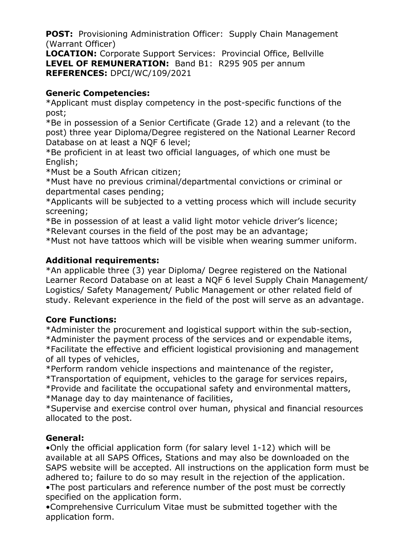**POST:** Provisioning Administration Officer: Supply Chain Management (Warrant Officer)

**LOCATION:** Corporate Support Services: Provincial Office, Bellville **LEVEL OF REMUNERATION:** Band B1: R295 905 per annum **REFERENCES:** DPCI/WC/109/2021

### **Generic Competencies:**

\*Applicant must display competency in the post-specific functions of the post;

\*Be in possession of a Senior Certificate (Grade 12) and a relevant (to the post) three year Diploma/Degree registered on the National Learner Record Database on at least a NQF 6 level;

\*Be proficient in at least two official languages, of which one must be English;

\*Must be a South African citizen;

\*Must have no previous criminal/departmental convictions or criminal or departmental cases pending;

\*Applicants will be subjected to a vetting process which will include security screening;

\*Be in possession of at least a valid light motor vehicle driver's licence; \*Relevant courses in the field of the post may be an advantage;

\*Must not have tattoos which will be visible when wearing summer uniform.

# **Additional requirements:**

\*An applicable three (3) year Diploma/ Degree registered on the National Learner Record Database on at least a NQF 6 level Supply Chain Management/ Logistics/ Safety Management/ Public Management or other related field of study. Relevant experience in the field of the post will serve as an advantage.

# **Core Functions:**

\*Administer the procurement and logistical support within the sub-section, \*Administer the payment process of the services and or expendable items, \*Facilitate the effective and efficient logistical provisioning and management of all types of vehicles,

\*Perform random vehicle inspections and maintenance of the register, \*Transportation of equipment, vehicles to the garage for services repairs, \*Provide and facilitate the occupational safety and environmental matters, \*Manage day to day maintenance of facilities,

\*Supervise and exercise control over human, physical and financial resources allocated to the post.

# **General:**

•Only the official application form (for salary level 1-12) which will be available at all SAPS Offices, Stations and may also be downloaded on the SAPS website will be accepted. All instructions on the application form must be adhered to; failure to do so may result in the rejection of the application. •The post particulars and reference number of the post must be correctly

specified on the application form.

•Comprehensive Curriculum Vitae must be submitted together with the application form.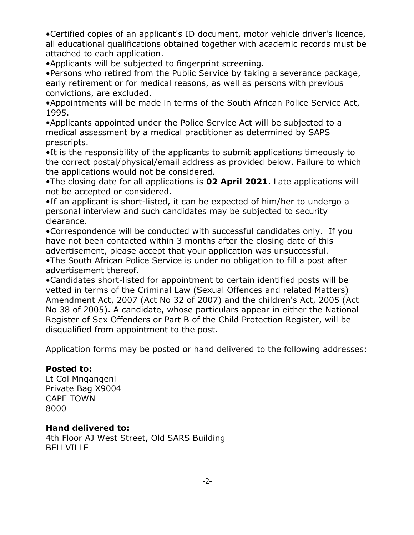•Certified copies of an applicant's ID document, motor vehicle driver's licence, all educational qualifications obtained together with academic records must be attached to each application.

•Applicants will be subjected to fingerprint screening.

•Persons who retired from the Public Service by taking a severance package, early retirement or for medical reasons, as well as persons with previous convictions, are excluded.

•Appointments will be made in terms of the South African Police Service Act, 1995.

•Applicants appointed under the Police Service Act will be subjected to a medical assessment by a medical practitioner as determined by SAPS prescripts.

•It is the responsibility of the applicants to submit applications timeously to the correct postal/physical/email address as provided below. Failure to which the applications would not be considered.

•The closing date for all applications is **02 April 2021**. Late applications will not be accepted or considered.

•If an applicant is short-listed, it can be expected of him/her to undergo a personal interview and such candidates may be subjected to security clearance.

•Correspondence will be conducted with successful candidates only. If you have not been contacted within 3 months after the closing date of this advertisement, please accept that your application was unsuccessful.

•The South African Police Service is under no obligation to fill a post after advertisement thereof.

•Candidates short-listed for appointment to certain identified posts will be vetted in terms of the Criminal Law (Sexual Offences and related Matters) Amendment Act, 2007 (Act No 32 of 2007) and the children's Act, 2005 (Act No 38 of 2005). A candidate, whose particulars appear in either the National Register of Sex Offenders or Part B of the Child Protection Register, will be disqualified from appointment to the post.

Application forms may be posted or hand delivered to the following addresses:

### **Posted to:**

Lt Col Mnqanqeni Private Bag X9004 CAPE TOWN 8000

### **Hand delivered to:**

4th Floor AJ West Street, Old SARS Building **BELLVILLE**